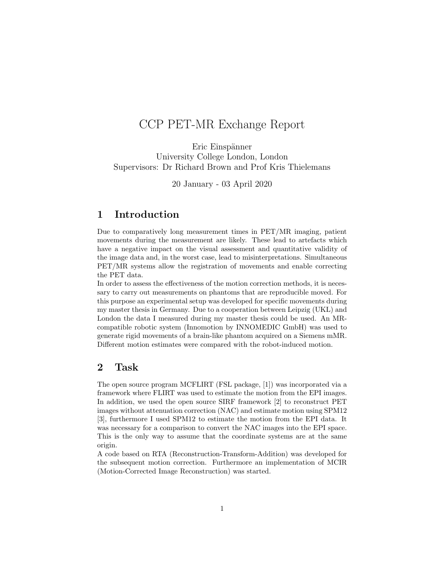# CCP PET-MR Exchange Report

Eric Einspänner University College London, London Supervisors: Dr Richard Brown and Prof Kris Thielemans

20 January - 03 April 2020

## 1 Introduction

Due to comparatively long measurement times in PET/MR imaging, patient movements during the measurement are likely. These lead to artefacts which have a negative impact on the visual assessment and quantitative validity of the image data and, in the worst case, lead to misinterpretations. Simultaneous PET/MR systems allow the registration of movements and enable correcting the PET data.

In order to assess the effectiveness of the motion correction methods, it is necessary to carry out measurements on phantoms that are reproducible moved. For this purpose an experimental setup was developed for specific movements during my master thesis in Germany. Due to a cooperation between Leipzig (UKL) and London the data I measured during my master thesis could be used. An MRcompatible robotic system (Innomotion by INNOMEDIC GmbH) was used to generate rigid movements of a brain-like phantom acquired on a Siemens mMR. Different motion estimates were compared with the robot-induced motion.

### 2 Task

The open source program MCFLIRT (FSL package, [1]) was incorporated via a framework where FLIRT was used to estimate the motion from the EPI images. In addition, we used the open source SIRF framework [2] to reconstruct PET images without attenuation correction (NAC) and estimate motion using SPM12 [3], furthermore I used SPM12 to estimate the motion from the EPI data. It was necessary for a comparison to convert the NAC images into the EPI space. This is the only way to assume that the coordinate systems are at the same origin.

A code based on RTA (Reconstruction-Transform-Addition) was developed for the subsequent motion correction. Furthermore an implementation of MCIR (Motion-Corrected Image Reconstruction) was started.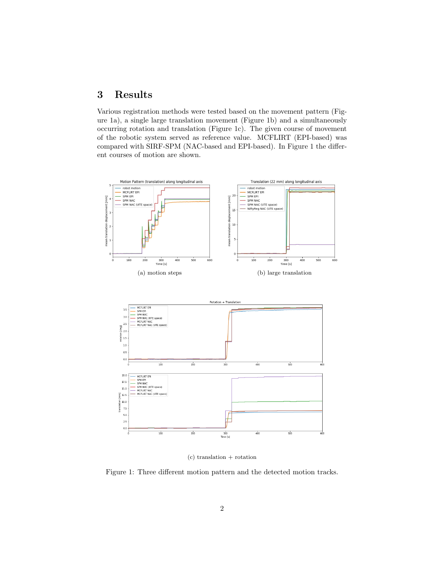# 3 Results

Various registration methods were tested based on the movement pattern (Figure 1a), a single large translation movement (Figure 1b) and a simultaneously occurring rotation and translation (Figure 1c). The given course of movement of the robotic system served as reference value. MCFLIRT (EPI-based) was compared with SIRF-SPM (NAC-based and EPI-based). In Figure 1 the different courses of motion are shown.



 $(c)$  translation + rotation

Figure 1: Three different motion pattern and the detected motion tracks.